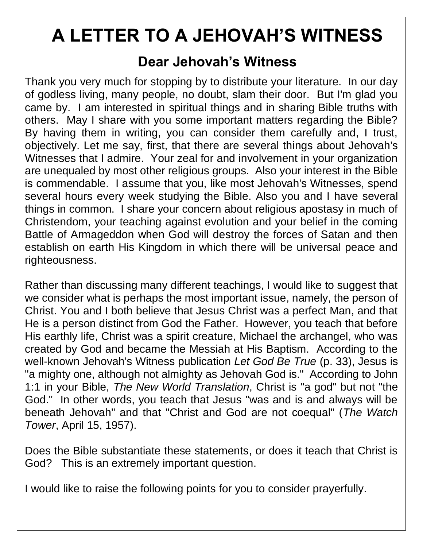# **A LETTER TO A JEHOVAH'S WITNESS**

#### **Dear Jehovah's Witness**

Thank you very much for stopping by to distribute your literature. In our day of godless living, many people, no doubt, slam their door. But I'm glad you came by. I am interested in spiritual things and in sharing Bible truths with others. May I share with you some important matters regarding the Bible? By having them in writing, you can consider them carefully and, I trust, objectively. Let me say, first, that there are several things about Jehovah's Witnesses that I admire. Your zeal for and involvement in your organization are unequaled by most other religious groups. Also your interest in the Bible is commendable. I assume that you, like most Jehovah's Witnesses, spend several hours every week studying the Bible. Also you and I have several things in common. I share your concern about religious apostasy in much of Christendom, your teaching against evolution and your belief in the coming Battle of Armageddon when God will destroy the forces of Satan and then establish on earth His Kingdom in which there will be universal peace and righteousness.

Rather than discussing many different teachings, I would like to suggest that we consider what is perhaps the most important issue, namely, the person of Christ. You and I both believe that Jesus Christ was a perfect Man, and that He is a person distinct from God the Father. However, you teach that before His earthly life, Christ was a spirit creature, Michael the archangel, who was created by God and became the Messiah at His Baptism. According to the well-known Jehovah's Witness publication *Let God Be True* (p. 33), Jesus is "a mighty one, although not almighty as Jehovah God is." According to John 1:1 in your Bible, *The New World Translation*, Christ is "a god" but not "the God." In other words, you teach that Jesus "was and is and always will be beneath Jehovah" and that "Christ and God are not coequal" (*The Watch Tower*, April 15, 1957).

Does the Bible substantiate these statements, or does it teach that Christ is God? This is an extremely important question.

I would like to raise the following points for you to consider prayerfully.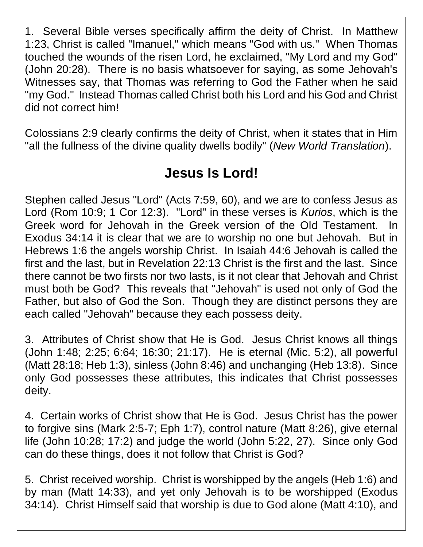1. Several Bible verses specifically affirm the deity of Christ. In Matthew 1:23, Christ is called "Imanuel," which means "God with us." When Thomas touched the wounds of the risen Lord, he exclaimed, "My Lord and my God" (John 20:28). There is no basis whatsoever for saying, as some Jehovah's Witnesses say, that Thomas was referring to God the Father when he said "my God." Instead Thomas called Christ both his Lord and his God and Christ did not correct him!

Colossians 2:9 clearly confirms the deity of Christ, when it states that in Him "all the fullness of the divine quality dwells bodily" (*New World Translation*).

#### **Jesus Is Lord!**

Stephen called Jesus "Lord" (Acts 7:59, 60), and we are to confess Jesus as Lord (Rom 10:9; 1 Cor 12:3). "Lord" in these verses is *Kurios*, which is the Greek word for Jehovah in the Greek version of the Old Testament. In Exodus 34:14 it is clear that we are to worship no one but Jehovah. But in Hebrews 1:6 the angels worship Christ. In Isaiah 44:6 Jehovah is called the first and the last, but in Revelation 22:13 Christ is the first and the last. Since there cannot be two firsts nor two lasts, is it not clear that Jehovah and Christ must both be God? This reveals that "Jehovah" is used not only of God the Father, but also of God the Son. Though they are distinct persons they are each called "Jehovah" because they each possess deity.

3. Attributes of Christ show that He is God. Jesus Christ knows all things (John 1:48; 2:25; 6:64; 16:30; 21:17). He is eternal (Mic. 5:2), all powerful (Matt 28:18; Heb 1:3), sinless (John 8:46) and unchanging (Heb 13:8). Since only God possesses these attributes, this indicates that Christ possesses deity.

4. Certain works of Christ show that He is God. Jesus Christ has the power to forgive sins (Mark 2:5-7; Eph 1:7), control nature (Matt 8:26), give eternal life (John 10:28; 17:2) and judge the world (John 5:22, 27). Since only God can do these things, does it not follow that Christ is God?

5. Christ received worship. Christ is worshipped by the angels (Heb 1:6) and by man (Matt 14:33), and yet only Jehovah is to be worshipped (Exodus 34:14). Christ Himself said that worship is due to God alone (Matt 4:10), and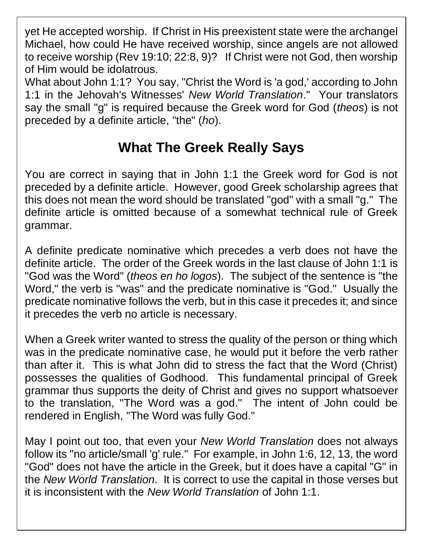yet He accepted worship. If Christ in His preexistent state were the archangel Michael, how could He have received worship, since angels are not allowed to receive worship (Rev 19:10; 22:8, 9)? If Christ were not God, then worship of Him would be idolatrous.

What about John 1:1? You say, "Christ the Word is 'a god,' according to John 1:1 in the Jehovah's Witnesses' *New World Translation*." Your translators say the small "g" is required because the Greek word for God (*theos*) is not preceded by a definite article, "the" (*ho*).

## **What The Greek Really Says**

You are correct in saying that in John 1:1 the Greek word for God is not preceded by a definite article. However, good Greek scholarship agrees that this does not mean the word should be translated "god" with a small "g." The definite article is omitted because of a somewhat technical rule of Greek grammar.

A definite predicate nominative which precedes a verb does not have the definite article. The order of the Greek words in the last clause of John 1:1 is "God was the Word" (*theos en ho logos*). The subject of the sentence is "the Word," the verb is "was" and the predicate nominative is "God." Usually the predicate nominative follows the verb, but in this case it precedes it; and since it precedes the verb no article is necessary.

When a Greek writer wanted to stress the quality of the person or thing which was in the predicate nominative case, he would put it before the verb rather than after it. This is what John did to stress the fact that the Word (Christ) possesses the qualities of Godhood. This fundamental principal of Greek grammar thus supports the deity of Christ and gives no support whatsoever to the translation, "The Word was a god." The intent of John could be rendered in English, "The Word was fully God."

May I point out too, that even your *New World Translation* does not always follow its "no article/small 'g' rule." For example, in John 1:6, 12, 13, the word "God" does not have the article in the Greek, but it does have a capital "G" in the *New World Translation*. It is correct to use the capital in those verses but it is inconsistent with the *New World Translation* of John 1:1.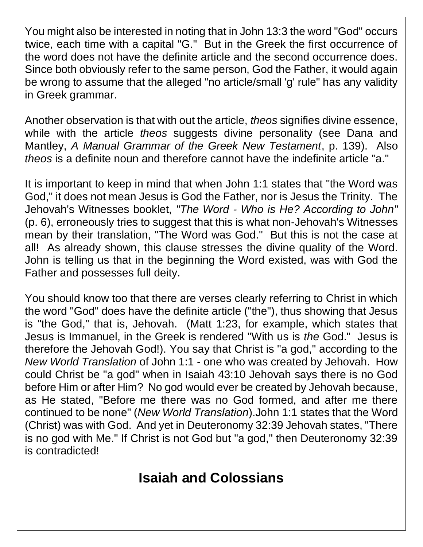You might also be interested in noting that in John 13:3 the word "God" occurs twice, each time with a capital "G." But in the Greek the first occurrence of the word does not have the definite article and the second occurrence does. Since both obviously refer to the same person, God the Father, it would again be wrong to assume that the alleged "no article/small 'g' rule" has any validity in Greek grammar.

Another observation is that with out the article, *theos* signifies divine essence, while with the article *theos* suggests divine personality (see Dana and Mantley, *A Manual Grammar of the Greek New Testament*, p. 139). Also *theos* is a definite noun and therefore cannot have the indefinite article "a."

It is important to keep in mind that when John 1:1 states that "the Word was God," it does not mean Jesus is God the Father, nor is Jesus the Trinity. The Jehovah's Witnesses booklet, *"The Word - Who is He? According to John"*  (p. 6), erroneously tries to suggest that this is what non-Jehovah's Witnesses mean by their translation, "The Word was God." But this is not the case at all! As already shown, this clause stresses the divine quality of the Word. John is telling us that in the beginning the Word existed, was with God the Father and possesses full deity.

You should know too that there are verses clearly referring to Christ in which the word "God" does have the definite article ("the"), thus showing that Jesus is "the God," that is, Jehovah. (Matt 1:23, for example, which states that Jesus is Immanuel, in the Greek is rendered "With us is *the* God." Jesus is therefore the Jehovah God!). You say that Christ is "a god," according to the *New World Translation* of John 1:1 - one who was created by Jehovah. How could Christ be "a god" when in Isaiah 43:10 Jehovah says there is no God before Him or after Him? No god would ever be created by Jehovah because, as He stated, "Before me there was no God formed, and after me there continued to be none" (*New World Translation*).John 1:1 states that the Word (Christ) was with God. And yet in Deuteronomy 32:39 Jehovah states, "There is no god with Me." If Christ is not God but "a god," then Deuteronomy 32:39 is contradicted!

### **Isaiah and Colossians**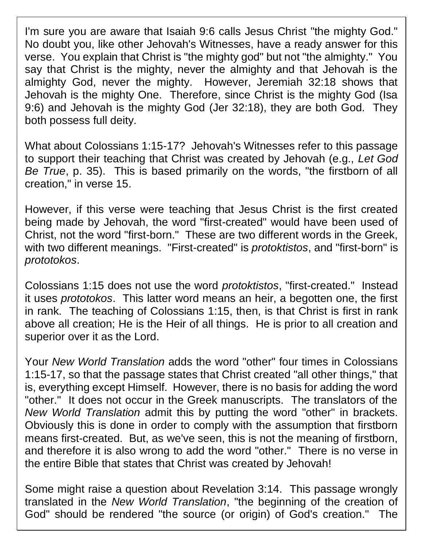I'm sure you are aware that Isaiah 9:6 calls Jesus Christ "the mighty God." No doubt you, like other Jehovah's Witnesses, have a ready answer for this verse. You explain that Christ is "the mighty god" but not "the almighty." You say that Christ is the mighty, never the almighty and that Jehovah is the almighty God, never the mighty. However, Jeremiah 32:18 shows that Jehovah is the mighty One. Therefore, since Christ is the mighty God (Isa 9:6) and Jehovah is the mighty God (Jer 32:18), they are both God. They both possess full deity.

What about Colossians 1:15-17? Jehovah's Witnesses refer to this passage to support their teaching that Christ was created by Jehovah (e.g., *Let God Be True*, p. 35). This is based primarily on the words, "the firstborn of all creation," in verse 15.

However, if this verse were teaching that Jesus Christ is the first created being made by Jehovah, the word "first-created" would have been used of Christ, not the word "first-born." These are two different words in the Greek, with two different meanings. "First-created" is *protoktistos*, and "first-born" is *prototokos*.

Colossians 1:15 does not use the word *protoktistos*, "first-created." Instead it uses *prototokos*. This latter word means an heir, a begotten one, the first in rank. The teaching of Colossians 1:15, then, is that Christ is first in rank above all creation; He is the Heir of all things. He is prior to all creation and superior over it as the Lord.

Your *New World Translation* adds the word "other" four times in Colossians 1:15-17, so that the passage states that Christ created "all other things," that is, everything except Himself. However, there is no basis for adding the word "other." It does not occur in the Greek manuscripts. The translators of the *New World Translation* admit this by putting the word "other" in brackets. Obviously this is done in order to comply with the assumption that firstborn means first-created. But, as we've seen, this is not the meaning of firstborn, and therefore it is also wrong to add the word "other." There is no verse in the entire Bible that states that Christ was created by Jehovah!

Some might raise a question about Revelation 3:14. This passage wrongly translated in the *New World Translation*, "the beginning of the creation of God" should be rendered "the source (or origin) of God's creation." The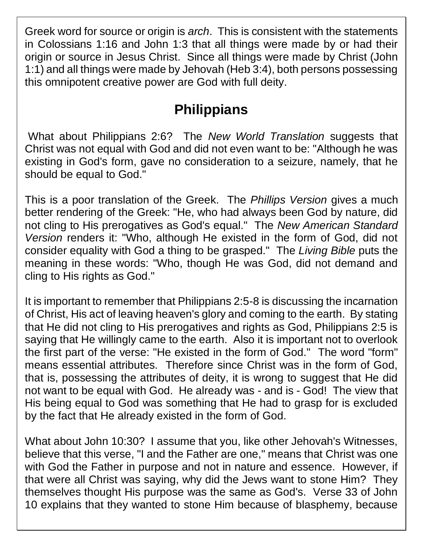Greek word for source or origin is *arch*. This is consistent with the statements in Colossians 1:16 and John 1:3 that all things were made by or had their origin or source in Jesus Christ. Since all things were made by Christ (John 1:1) and all things were made by Jehovah (Heb 3:4), both persons possessing this omnipotent creative power are God with full deity.

## **Philippians**

What about Philippians 2:6? The *New World Translation* suggests that Christ was not equal with God and did not even want to be: "Although he was existing in God's form, gave no consideration to a seizure, namely, that he should be equal to God."

This is a poor translation of the Greek. The *Phillips Version* gives a much better rendering of the Greek: "He, who had always been God by nature, did not cling to His prerogatives as God's equal." The *New American Standard Version* renders it: "Who, although He existed in the form of God, did not consider equality with God a thing to be grasped." The *Living Bible* puts the meaning in these words: "Who, though He was God, did not demand and cling to His rights as God."

It is important to remember that Philippians 2:5-8 is discussing the incarnation of Christ, His act of leaving heaven's glory and coming to the earth. By stating that He did not cling to His prerogatives and rights as God, Philippians 2:5 is saying that He willingly came to the earth. Also it is important not to overlook the first part of the verse: "He existed in the form of God." The word "form" means essential attributes. Therefore since Christ was in the form of God, that is, possessing the attributes of deity, it is wrong to suggest that He did not want to be equal with God. He already was - and is - God! The view that His being equal to God was something that He had to grasp for is excluded by the fact that He already existed in the form of God.

What about John 10:30? I assume that you, like other Jehovah's Witnesses, believe that this verse, "I and the Father are one," means that Christ was one with God the Father in purpose and not in nature and essence. However, if that were all Christ was saying, why did the Jews want to stone Him? They themselves thought His purpose was the same as God's. Verse 33 of John 10 explains that they wanted to stone Him because of blasphemy, because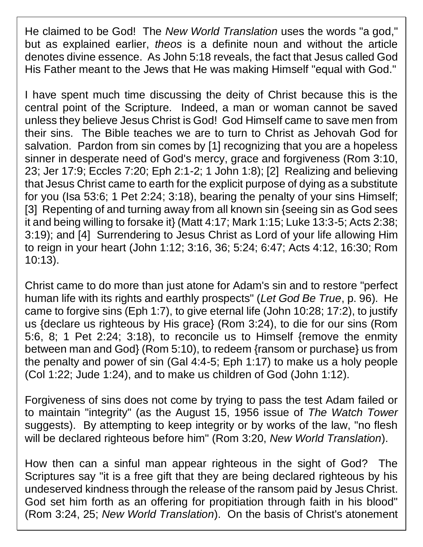He claimed to be God! The *New World Translation* uses the words "a god," but as explained earlier, *theos* is a definite noun and without the article denotes divine essence. As John 5:18 reveals, the fact that Jesus called God His Father meant to the Jews that He was making Himself "equal with God."

I have spent much time discussing the deity of Christ because this is the central point of the Scripture. Indeed, a man or woman cannot be saved unless they believe Jesus Christ is God! God Himself came to save men from their sins. The Bible teaches we are to turn to Christ as Jehovah God for salvation. Pardon from sin comes by [1] recognizing that you are a hopeless sinner in desperate need of God's mercy, grace and forgiveness (Rom 3:10, 23; Jer 17:9; Eccles 7:20; Eph 2:1-2; 1 John 1:8); [2] Realizing and believing that Jesus Christ came to earth for the explicit purpose of dying as a substitute for you (Isa 53:6; 1 Pet 2:24; 3:18), bearing the penalty of your sins Himself; [3] Repenting of and turning away from all known sin {seeing sin as God sees it and being willing to forsake it} (Matt 4:17; Mark 1:15; Luke 13:3-5; Acts 2:38; 3:19); and [4] Surrendering to Jesus Christ as Lord of your life allowing Him to reign in your heart (John 1:12; 3:16, 36; 5:24; 6:47; Acts 4:12, 16:30; Rom 10:13).

Christ came to do more than just atone for Adam's sin and to restore "perfect human life with its rights and earthly prospects" (*Let God Be True*, p. 96). He came to forgive sins (Eph 1:7), to give eternal life (John 10:28; 17:2), to justify us {declare us righteous by His grace} (Rom 3:24), to die for our sins (Rom 5:6, 8; 1 Pet 2:24; 3:18), to reconcile us to Himself {remove the enmity between man and God} (Rom 5:10), to redeem {ransom or purchase} us from the penalty and power of sin (Gal 4:4-5; Eph 1:17) to make us a holy people (Col 1:22; Jude 1:24), and to make us children of God (John 1:12).

Forgiveness of sins does not come by trying to pass the test Adam failed or to maintain "integrity" (as the August 15, 1956 issue of *The Watch Tower*  suggests). By attempting to keep integrity or by works of the law, "no flesh will be declared righteous before him" (Rom 3:20, *New World Translation*).

How then can a sinful man appear righteous in the sight of God? The Scriptures say "it is a free gift that they are being declared righteous by his undeserved kindness through the release of the ransom paid by Jesus Christ. God set him forth as an offering for propitiation through faith in his blood" (Rom 3:24, 25; *New World Translation*). On the basis of Christ's atonement